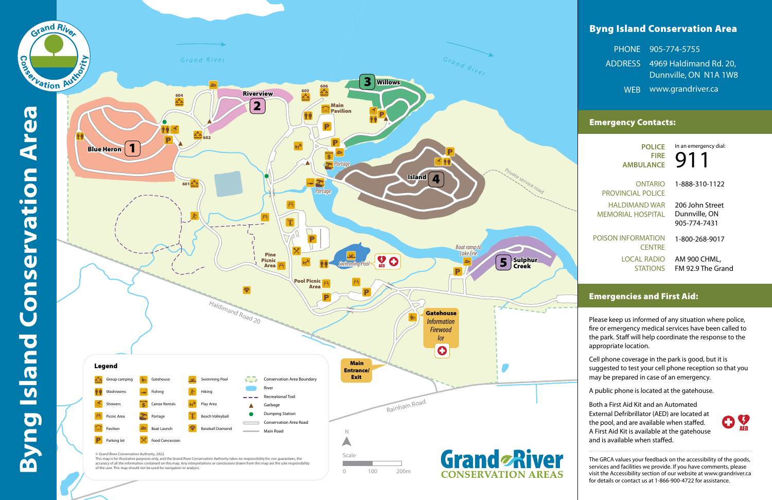# Byng Island Conservation Area

| PHONE 905-774-5755             |
|--------------------------------|
| ADDRESS 4969 Haldimand Rd. 20, |
| Dunnville, ON N1A 1W8          |
| WEB www.grandriver.ca          |

## Emergency Contacts:

## Emergencies and First Aid:

Please keep us informed of any situation where police, fire or emergency medical services have been called to the park. Staff will help coordinate the response to the appropriate location.

AM 900 CHML, FM 92.9 The Grand

Cell phone coverage in the park is good, but it is suggested to test your cell phone reception so that you may be prepared in case of an emergency.

A public phone is located at the gatehouse.

**POLICE FIRE AMBULANCE**

ONTARIO PROVINCIAL POLICE HALDIMAND WAR MEMORIAL HOSPITAL

POISON INFORMATION **CENTRE** LOCAL RADIO **STATIONS**  1-888-310-1122

206 John Street Dunnville, ON 905-774-7431

1-800-268-9017

911 In an emergency dial:

Both a First Aid Kit and an Automated External Defribrillator (AED) are located at the pool, and are available when staffed. A First Aid Kit is available at the gatehouse and is available when staffed.



The GRCA values your feedback on the accessibility of the goods, services and facilities we provide. If you have comments, please visit the Accessibility section of our website at www.grandriver.ca for details or contact us at 1-866-900-4722 for assistance.